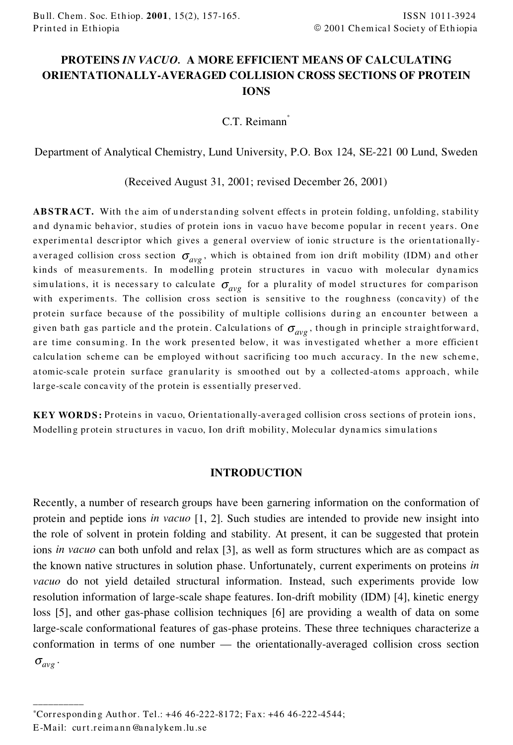# **PROTEINS** *IN VACUO.* **A MORE EFFICIENT MEANS OF CALCULATING ORIENTATIONALLY-AVERAGED COLLISION CROSS SECTIONS OF PROTEIN IONS**

C.T. Reimann<sup>\*</sup>

Department of Analytical Chemistry, Lund University, P.O. Box 124, SE-221 00 Lund, Sweden

(Received August 31, 2001; revised December 26, 2001)

**ABSTRACT.** With the aim of understanding solvent effects in protein folding, unfolding, stability and dynamic behavior, studies of protein ions in vacuo have become popular in recent years. One experimental descriptor which gives a general overview of ionic structure is the orientationallyaveraged collision cross section  $\sigma_{avg}$ , which is obtained from ion drift mobility (IDM) and other kinds of measurements. In modelling protein structures in vacuo with molecular dynamics simulations, it is necessary to calculate  $\sigma_{avg}$  for a plurality of model structures for comparison with experiments. The collision cross section is sensitive to the roughness (concavity) of the protein surface because of the possibility of multiple collisions during an encounter between a given bath gas particle and the protein. Calculations of  $\sigma_{avg}$ , though in principle straightforward, are time consuming. In the work presented below, it was investigated whether a more efficient calculation scheme can be employed without sacrificing too much accuracy. In the new scheme, atomic-scale protein surface granularity is smoothed out by a collected-atoms approach, while large-scale concavity of the protein is essentially preserved.

**KEY WORDS:** Proteins in vacuo, Orientationally-averaged collision cross sections of protein ions, Modelling protein structures in vacuo, Ion drift mobility, Molecular dynamics simulations

#### **INTRODUCTION**

Recently, a number of research groups have been garnering information on the conformation of protein and peptide ions *in vacuo* [1, 2]. Such studies are intended to provide new insight into the role of solvent in protein folding and stability. At present, it can be suggested that protein ions *in vacuo* can both unfold and relax [3], as well as form structures which are as compact as the known native structures in solution phase. Unfortunately, current experiments on proteins *in vacuo* do not yield detailed structural information. Instead, such experiments provide low resolution information of large-scale shape features. Ion-drift mobility (IDM) [4], kinetic energy loss [5], and other gas-phase collision techniques [6] are providing a wealth of data on some large-scale conformational features of gas-phase proteins. These three techniques characterize a conformation in terms of one number — the orientationally-averaged collision cross section  $\sigma_{avg}$  .

\_\_\_\_\_\_\_\_\_\_

<sup>\*</sup>Corr espondin g Auth or. Tel.: +46 46-222-8172; Fa x: +46 46-222-4544;

E-Mail: curt.reimann@analykem.lu.se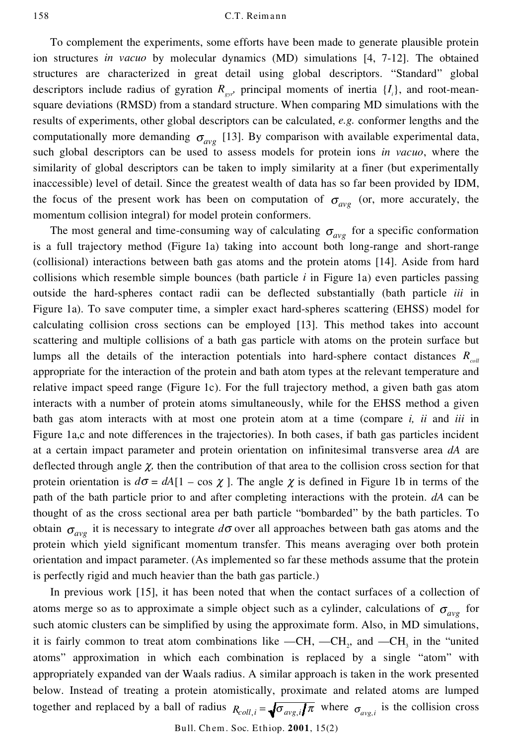To complement the experiments, some efforts have been made to generate plausible protein ion structures *in vacuo* by molecular dynamics (MD) simulations [4, 7-12]. The obtained structures are characterized in great detail using global descriptors. "Standard" global descriptors include radius of gyration  $R_{gyr}$  principal moments of inertia  $\{I_i\}$ , and root-meansquare deviations (RMSD) from a standard structure. When comparing MD simulations with the results of experiments, other global descriptors can be calculated, *e.g.* conformer lengths and the computationally more demanding  $\sigma_{avg}$  [13]. By comparison with available experimental data, such global descriptors can be used to assess models for protein ions *in vacuo*, where the similarity of global descriptors can be taken to imply similarity at a finer (but experimentally inaccessible) level of detail. Since the greatest wealth of data has so far been provided by IDM, the focus of the present work has been on computation of  $\sigma_{avg}$  (or, more accurately, the momentum collision integral) for model protein conformers.

The most general and time-consuming way of calculating  $\sigma_{avg}$  for a specific conformation is a full trajectory method (Figure 1a) taking into account both long-range and short-range (collisional) interactions between bath gas atoms and the protein atoms [14]. Aside from hard collisions which resemble simple bounces (bath particle *i* in Figure 1a) even particles passing outside the hard-spheres contact radii can be deflected substantially (bath particle *iii* in Figure 1a). To save computer time, a simpler exact hard-spheres scattering (EHSS) model for calculating collision cross sections can be employed [13]. This method takes into account scattering and multiple collisions of a bath gas particle with atoms on the protein surface but lumps all the details of the interaction potentials into hard-sphere contact distances *Rcoll* appropriate for the interaction of the protein and bath atom types at the relevant temperature and relative impact speed range (Figure 1c). For the full trajectory method, a given bath gas atom interacts with a number of protein atoms simultaneously, while for the EHSS method a given bath gas atom interacts with at most one protein atom at a time (compare *i, ii* and *iii* in Figure 1a,c and note differences in the trajectories). In both cases, if bath gas particles incident at a certain impact parameter and protein orientation on infinitesimal transverse area *dA* are deflected through angle  $\chi$ , then the contribution of that area to the collision cross section for that protein orientation is  $d\sigma = dA[1 - \cos \chi]$ . The angle  $\chi$  is defined in Figure 1b in terms of the path of the bath particle prior to and after completing interactions with the protein. *dA* can be thought of as the cross sectional area per bath particle "bombarded" by the bath particles. To obtain  $\sigma_{avg}$  it is necessary to integrate  $d\sigma$  over all approaches between bath gas atoms and the protein which yield significant momentum transfer. This means averaging over both protein orientation and impact parameter. (As implemented so far these methods assume that the protein is perfectly rigid and much heavier than the bath gas particle.)

In previous work [15], it has been noted that when the contact surfaces of a collection of atoms merge so as to approximate a simple object such as a cylinder, calculations of  $\sigma_{avg}$  for such atomic clusters can be simplified by using the approximate form. Also, in MD simulations, it is fairly common to treat atom combinations like  $-CH$ ,  $-CH<sub>2</sub>$ , and  $-CH<sub>3</sub>$  in the "united atoms" approximation in which each combination is replaced by a single "atom" with appropriately expanded van der Waals radius. A similar approach is taken in the work presented below. Instead of treating a protein atomistically, proximate and related atoms are lumped together and replaced by a ball of radius  $R_{coll,i} = \sqrt{\sigma_{ave,i}}/\pi$  where  $\sigma_{ave,i}$  is the collision cross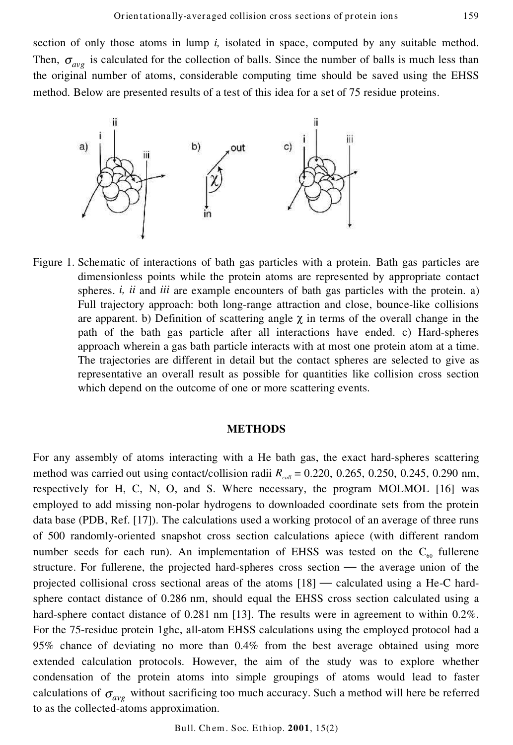section of only those atoms in lump *i,* isolated in space, computed by any suitable method. Then,  $\sigma_{avg}$  is calculated for the collection of balls. Since the number of balls is much less than the original number of atoms, considerable computing time should be saved using the EHSS method. Below are presented results of a test of this idea for a set of 75 residue proteins.



Figure 1. Schematic of interactions of bath gas particles with a protein. Bath gas particles are dimensionless points while the protein atoms are represented by appropriate contact spheres. *i, ii* and *iii* are example encounters of bath gas particles with the protein. a) Full trajectory approach: both long-range attraction and close, bounce-like collisions are apparent. b) Definition of scattering angle  $\chi$  in terms of the overall change in the path of the bath gas particle after all interactions have ended. c) Hard-spheres approach wherein a gas bath particle interacts with at most one protein atom at a time. The trajectories are different in detail but the contact spheres are selected to give as representative an overall result as possible for quantities like collision cross section which depend on the outcome of one or more scattering events.

### **METHODS**

For any assembly of atoms interacting with a He bath gas, the exact hard-spheres scattering method was carried out using contact/collision radii  $R_{\text{out}} = 0.220, 0.265, 0.250, 0.245, 0.290$  nm, respectively for H, C, N, O, and S. Where necessary, the program MOLMOL [16] was employed to add missing non-polar hydrogens to downloaded coordinate sets from the protein data base (PDB, Ref. [17]). The calculations used a working protocol of an average of three runs of 500 randomly-oriented snapshot cross section calculations apiece (with different random number seeds for each run). An implementation of EHSS was tested on the  $C_{60}$  fullerene structure. For fullerene, the projected hard-spheres cross section  $-$  the average union of the projected collisional cross sectional areas of the atoms  $[18]$  — calculated using a He-C hardsphere contact distance of 0.286 nm, should equal the EHSS cross section calculated using a hard-sphere contact distance of 0.281 nm [13]. The results were in agreement to within 0.2%. For the 75-residue protein 1ghc, all-atom EHSS calculations using the employed protocol had a 95% chance of deviating no more than 0.4% from the best average obtained using more extended calculation protocols. However, the aim of the study was to explore whether condensation of the protein atoms into simple groupings of atoms would lead to faster calculations of  $\sigma_{avg}$  without sacrificing too much accuracy. Such a method will here be referred to as the collected-atoms approximation.

Bull. Ch em. Soc. Ethiop. **2001**, 15(2)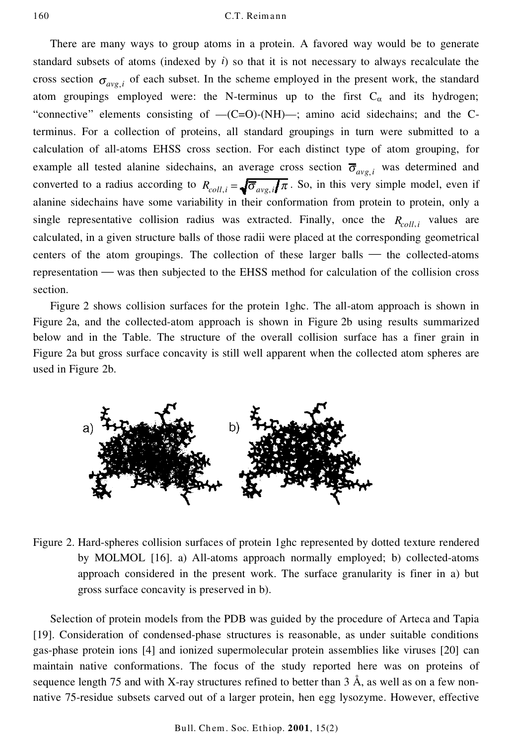There are many ways to group atoms in a protein. A favored way would be to generate standard subsets of atoms (indexed by *i*) so that it is not necessary to always recalculate the cross section  $\sigma_{\text{ave }i}$  of each subset. In the scheme employed in the present work, the standard atom groupings employed were: the N-terminus up to the first  $C_{\alpha}$  and its hydrogen; "connective" elements consisting of  $-(C=O)-(NH)$ —; amino acid sidechains; and the Cterminus. For a collection of proteins, all standard groupings in turn were submitted to a calculation of all-atoms EHSS cross section. For each distinct type of atom grouping, for example all tested alanine sidechains, an average cross section  $\overline{\sigma}_{ave}$  was determined and converted to a radius according to  $R_{coll,i} = \sqrt{\sigma_{ave,i}/\pi}$ . So, in this very simple model, even if alanine sidechains have some variability in their conformation from protein to protein, only a single representative collision radius was extracted. Finally, once the  $R_{coll,i}$  values are calculated, in a given structure balls of those radii were placed at the corresponding geometrical centers of the atom groupings. The collection of these larger balls  $-$  the collected-atoms representation — was then subjected to the EHSS method for calculation of the collision cross section.

Figure 2 shows collision surfaces for the protein 1ghc. The all-atom approach is shown in Figure 2a, and the collected-atom approach is shown in Figure 2b using results summarized below and in the Table. The structure of the overall collision surface has a finer grain in Figure 2a but gross surface concavity is still well apparent when the collected atom spheres are used in Figure 2b.



Figure 2. Hard-spheres collision surfaces of protein 1ghc represented by dotted texture rendered by MOLMOL [16]. a) All-atoms approach normally employed; b) collected-atoms approach considered in the present work. The surface granularity is finer in a) but gross surface concavity is preserved in b).

Selection of protein models from the PDB was guided by the procedure of Arteca and Tapia [19]. Consideration of condensed-phase structures is reasonable, as under suitable conditions gas-phase protein ions [4] and ionized supermolecular protein assemblies like viruses [20] can maintain native conformations. The focus of the study reported here was on proteins of sequence length 75 and with X-ray structures refined to better than 3 Å, as well as on a few non native 75-residue subsets carved out of a larger protein, hen egg lysozyme. However, effective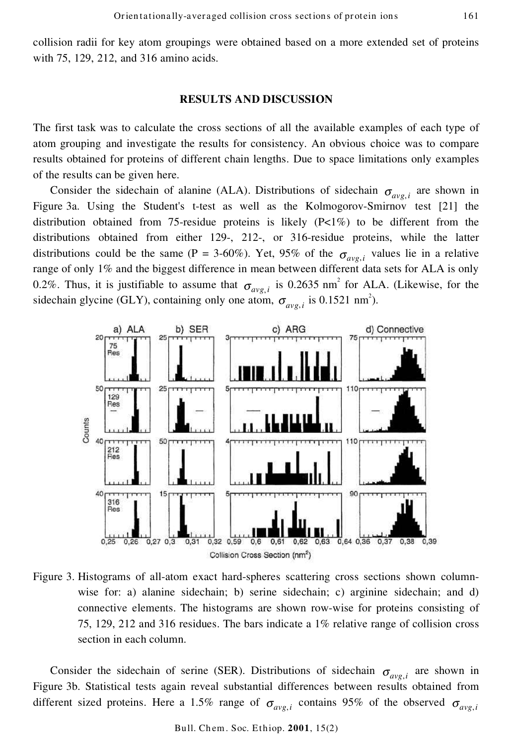collision radii for key atom groupings were obtained based on a more extended set of proteins with 75, 129, 212, and 316 amino acids.

#### **RESULTS AND DISCUSSION**

The first task was to calculate the cross sections of all the available examples of each type of atom grouping and investigate the results for consistency. An obvious choice was to compare results obtained for proteins of different chain lengths. Due to space limitations only examples of the results can be given here.

Consider the sidechain of alanine (ALA). Distributions of sidechain  $\sigma_{\alpha\nu\rho,i}$  are shown in Figure 3a. Using the Student's t-test as well as the Kolmogorov-Smirnov test [21] the distribution obtained from 75-residue proteins is likely  $(P<1\%)$  to be different from the distributions obtained from either 129-, 212-, or 316-residue proteins, while the latter distributions could be the same (P = 3-60%). Yet, 95% of the  $\sigma_{\text{avg},i}$  values lie in a relative range of only 1% and the biggest difference in mean between different data sets for ALA is only 0.2%. Thus, it is justifiable to assume that  $\sigma_{avg,i}$  is 0.2635 nm<sup>2</sup> for ALA. (Likewise, for the sidechain glycine (GLY), containing only one atom,  $\sigma_{avg,i}$  is 0.1521 nm<sup>2</sup>).



Figure 3. Histograms of all-atom exact hard-spheres scattering cross sections shown columnwise for: a) alanine sidechain; b) serine sidechain; c) arginine sidechain; and d) connective elements. The histograms are shown row-wise for proteins consisting of 75, 129, 212 and 316 residues. The bars indicate a 1% relative range of collision cross section in each column.

Consider the sidechain of serine (SER). Distributions of sidechain  $\sigma_{avg,i}$  are shown in Figure 3b. Statistical tests again reveal substantial differences between results obtained from different sized proteins. Here a 1.5% range of  $\sigma_{\text{ave},i}$  contains 95% of the observed  $\sigma_{\text{avg},i}$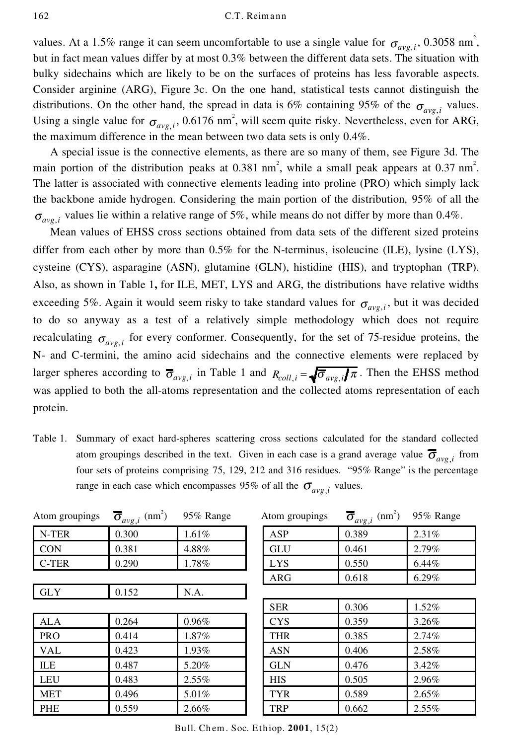values. At a 1.5% range it can seem uncomfortable to use a single value for  $\sigma_{avg,i}$ , 0.3058 nm<sup>2</sup>, but in fact mean values differ by at most 0.3% between the different data sets. The situation with bulky sidechains which are likely to be on the surfaces of proteins has less favorable aspects. Consider arginine (ARG), Figure 3c. On the one hand, statistical tests cannot distinguish the distributions. On the other hand, the spread in data is 6% containing 95% of the  $\sigma_{avg,i}$  values. Using a single value for  $\sigma_{avg,i}$ , 0.6176 nm<sup>2</sup>, will seem quite risky. Nevertheless, even for ARG, the maximum difference in the mean between two data sets is only 0.4%.

A special issue is the connective elements, as there are so many of them, see Figure 3d. The main portion of the distribution peaks at 0.381 nm<sup>2</sup>, while a small peak appears at 0.37 nm<sup>2</sup>. The latter is associated with connective elements leading into proline (PRO) which simply lack the backbone amide hydrogen. Considering the main portion of the distribution, 95% of all the  $\sigma_{avg}$ , values lie within a relative range of 5%, while means do not differ by more than 0.4%.

Mean values of EHSS cross sections obtained from data sets of the different sized proteins differ from each other by more than 0.5% for the N-terminus, isoleucine (ILE), lysine (LYS), cysteine (CYS), asparagine (ASN), glutamine (GLN), histidine (HIS), and tryptophan (TRP). Also, as shown in Table 1**,** for ILE, MET, LYS and ARG, the distributions have relative widths exceeding 5%. Again it would seem risky to take standard values for  $\sigma_{\alpha\nu\rho,i}$ , but it was decided to do so anyway as a test of a relatively simple methodology which does not require recalculating  $\sigma_{avg,i}$  for every conformer. Consequently, for the set of 75-residue proteins, the N- and C-termini, the amino acid sidechains and the connective elements were replaced by larger spheres according to  $\overline{\sigma}_{avg,i}$  in Table 1 and  $R_{coll,i} = \sqrt{\overline{\sigma}_{avg,i}} \pi$ . Then the EHSS method was applied to both the all-atoms representation and the collected atoms representation of each protein.

Table 1. Summary of exact hard-spheres scattering cross sections calculated for the standard collected atom groupings described in the text. Given in each case is a grand average value  $\overline{\sigma}_{ave,i}$  from four sets of proteins comprising 75, 129, 212 and 316 residues. "95% Range" is the percentage range in each case which encompasses 95% of all the  $\sigma_{\text{ave }i}$  values.

| Atom groupings | $\overline{\sigma}_{avg,i}$ (nm <sup>2</sup> ) | 95% Range | Atom groupings | $\overline{\sigma}_{avg,i}$ (nm <sup>2</sup> ) | 95% Range |
|----------------|------------------------------------------------|-----------|----------------|------------------------------------------------|-----------|
| N-TER          | 0.300                                          | 1.61%     | ASP            | 0.389                                          | 2.31%     |
| <b>CON</b>     | 0.381                                          | 4.88%     | GLU            | 0.461                                          | 2.79%     |
| C-TER          | 0.290                                          | 1.78%     | LYS.           | 0.550                                          | 6.44%     |
|                |                                                |           | <b>ARG</b>     | 0.618                                          | 6.29%     |
| <b>GLY</b>     | 0.152                                          | N.A.      |                |                                                |           |
|                |                                                |           | <b>SER</b>     | 0.306                                          | 1.52%     |
| <b>ALA</b>     | 0.264                                          | 0.96%     | <b>CYS</b>     | 0.359                                          | 3.26%     |
| PRO            | 0.414                                          | 1.87%     | <b>THR</b>     | 0.385                                          | 2.74%     |
| <b>VAL</b>     | 0.423                                          | 1.93%     | <b>ASN</b>     | 0.406                                          | 2.58%     |
| ILE            | 0.487                                          | 5.20%     | <b>GLN</b>     | 0.476                                          | $3.42\%$  |
| <b>LEU</b>     | 0.483                                          | $2.55\%$  | <b>HIS</b>     | 0.505                                          | 2.96%     |
| <b>MET</b>     | 0.496                                          | 5.01%     | <b>TYR</b>     | 0.589                                          | 2.65%     |
| PHE            | 0.559                                          | 2.66%     | TRP            | 0.662                                          | 2.55%     |

Bull. Ch em. Soc. Ethiop. **2001**, 15(2)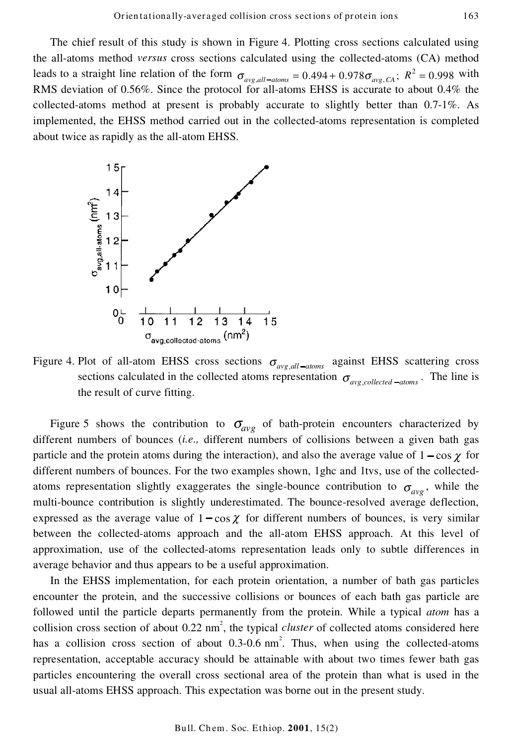The chief result of this study is shown in Figure 4. Plotting cross sections calculated using the all-atoms method *versus* cross sections calculated using the collected-atoms (CA) method leads to a straight line relation of the form  $\sigma_{avg,all-doms} = 0.494 + 0.978 \sigma_{avg, CA}$ ;  $R^2 = 0.998$  with RMS deviation of 0.56%. Since the protocol for all-atoms EHSS is accurate to about 0.4% the collected-atoms method at present is probably accurate to slightly better than 0.7-1%. As implemented, the EHSS method carried out in the collected-atoms representation is completed about twice as rapidly as the all-atom EHSS.



Figure 4. Plot of all-atom EHSS cross sections  $\sigma_{ave,all-atons}$  against EHSS scattering cross sections calculated in the collected atoms representation  $\sigma_{\text{avg}}$ , *collected*  $_{-atoms}$ . The line is the result of curve fitting.

Figure 5 shows the contribution to  $\sigma_{avg}$  of bath-protein encounters characterized by different numbers of bounces (*i.e.,* different numbers of collisions between a given bath gas particle and the protein atoms during the interaction), and also the average value of  $1 - \cos \chi$  for different numbers of bounces. For the two examples shown, 1ghc and 1tvs, use of the collectedatoms representation slightly exaggerates the single-bounce contribution to  $\sigma_{avg}$ , while the multi-bounce contribution is slightly underestimated. The bounce-resolved average deflection, expressed as the average value of  $1 - \cos \chi$  for different numbers of bounces, is very similar between the collected-atoms approach and the all-atom EHSS approach. At this level of approximation, use of the collected-atoms representation leads only to subtle differences in average behavior and thus appears to be a useful approximation.

In the EHSS implementation, for each protein orientation, a number of bath gas particles encounter the protein, and the successive collisions or bounces of each bath gas particle are followed until the particle departs permanently from the protein. While a typical *atom* has a collision cross section of about 0.22 nm 2 , the typical *cluster* of collected atoms considered here has a collision cross section of about 0.3-0.6 nm<sup>2</sup>. Thus, when using the collected-atoms representation, acceptable accuracy should be attainable with about two times fewer bath gas particles encountering the overall cross sectional area of the protein than what is used in the usual all-atoms EHSS approach. This expectation was borne out in the present study.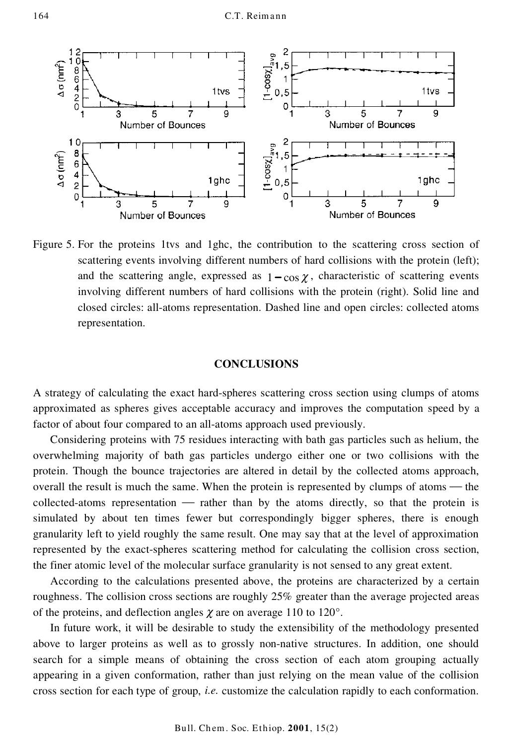

Figure 5. For the proteins 1tvs and 1ghc, the contribution to the scattering cross section of scattering events involving different numbers of hard collisions with the protein (left); and the scattering angle, expressed as  $1 - \cos \chi$ , characteristic of scattering events involving different numbers of hard collisions with the protein (right). Solid line and closed circles: all-atoms representation. Dashed line and open circles: collected atoms representation.

#### **CONCLUSIONS**

A strategy of calculating the exact hard-spheres scattering cross section using clumps of atoms approximated as spheres gives acceptable accuracy and improves the computation speed by a factor of about four compared to an all-atoms approach used previously.

Considering proteins with 75 residues interacting with bath gas particles such as helium, the overwhelming majority of bath gas particles undergo either one or two collisions with the protein. Though the bounce trajectories are altered in detail by the collected atoms approach, overall the result is much the same. When the protein is represented by clumps of atoms  $-$  the collected-atoms representation — rather than by the atoms directly, so that the protein is simulated by about ten times fewer but correspondingly bigger spheres, there is enough granularity left to yield roughly the same result. One may say that at the level of approximation represented by the exact-spheres scattering method for calculating the collision cross section, the finer atomic level of the molecular surface granularity is not sensed to any great extent.

According to the calculations presented above, the proteins are characterized by a certain roughness. The collision cross sections are roughly 25% greater than the average projected areas of the proteins, and deflection angles  $\chi$  are on average 110 to 120°.

In future work, it will be desirable to study the extensibility of the methodology presented above to larger proteins as well as to grossly non-native structures. In addition, one should search for a simple means of obtaining the cross section of each atom grouping actually appearing in a given conformation, rather than just relying on the mean value of the collision cross section for each type of group, *i.e.* customize the calculation rapidly to each conformation.